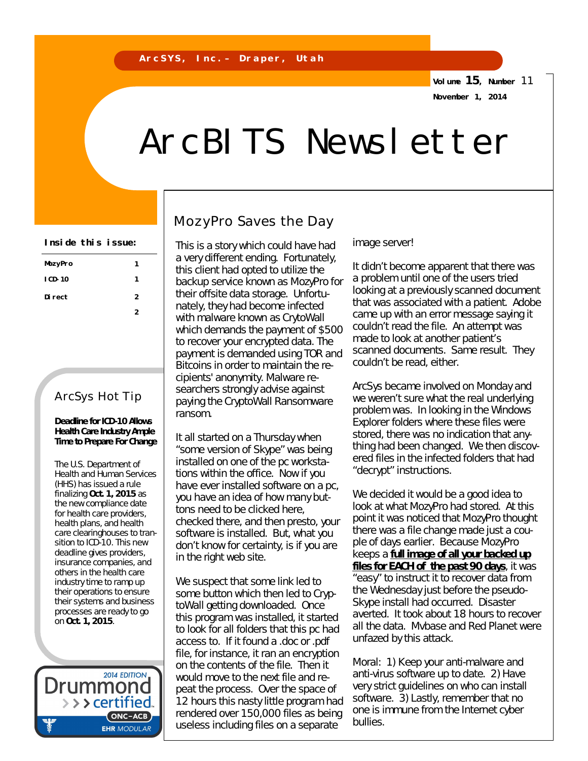**Volume 15, Number** 11 **November 1, 2014**

# ArcBITS Newsletter

| MozyPro | 1 |  |
|---------|---|--|
| I CD-10 | 1 |  |
| Di rect | 2 |  |
|         |   |  |

## ArcSys Hot Tip

#### **Deadline for ICD-10 Allows Health Care Industry Ample Time to Prepare For Change**

The U.S. Department of Health and Human Services (HHS) has issued a rule finalizing **Oct. 1, 2015** as the new compliance date for health care providers, health plans, and health care clearinghouses to transition to ICD-10. This new deadline gives providers, insurance companies, and others in the health care industry time to ramp up their operations to ensure their systems and business processes are ready to go on **Oct. 1, 2015**.

**2014 EDITION** Drummol > > > certified. (ONC-ACB) **EHR MODULAR** 

## MozyPro Saves the Day

Inside this issue: | This is a story which could have had image server! a very different ending. Fortunately, this client had opted to utilize the backup service known as MozyPro for their offsite data storage. Unfortunately, they had become infected with malware known as CrytoWall which demands the payment of \$500 to recover your encrypted data. The payment is demanded using TOR and Bitcoins in order to maintain the recipients' anonymity. Malware researchers strongly advise against paying the CryptoWall Ransomware ransom.

> It all started on a Thursday when "some version of Skype" was being installed on one of the pc workstations within the office. Now if you have ever installed software on a pc, you have an idea of how many buttons need to be clicked here, checked there, and then presto, your software is installed. But, what you don't know for certainty, is if you are in the right web site.

We suspect that some link led to some button which then led to CryptoWall getting downloaded. Once this program was installed, it started to look for all folders that this pc had access to. If it found a .doc or .pdf file, for instance, it ran an encryption on the contents of the file. Then it would move to the next file and repeat the process. Over the space of 12 hours this nasty little program had rendered over 150,000 files as being useless including files on a separate

It didn't become apparent that there was a problem until one of the users tried looking at a previously scanned document that was associated with a patient. Adobe came up with an error message saying it couldn't read the file. An attempt was made to look at another patient's scanned documents. Same result. They couldn't be read, either.

ArcSys became involved on Monday and we weren't sure what the real underlying problem was. In looking in the Windows Explorer folders where these files were stored, there was no indication that anything had been changed. We then discovered files in the infected folders that had "decrypt" instructions.

We decided it would be a good idea to look at what MozyPro had stored. At this point it was noticed that MozyPro thought there was a file change made just a couple of days earlier. Because MozyPro keeps a *full image of all your backed up files for EACH of the past 90 days*, it was "easy" to instruct it to recover data from the Wednesday just before the pseudo-Skype install had occurred. Disaster averted. It took about 18 hours to recover all the data. Mvbase and Red Planet were unfazed by this attack.

Moral: 1) Keep your anti-malware and anti-virus software up to date. 2) Have very strict guidelines on who can install software. 3) Lastly, remember that no one is immune from the Internet cyber bullies.